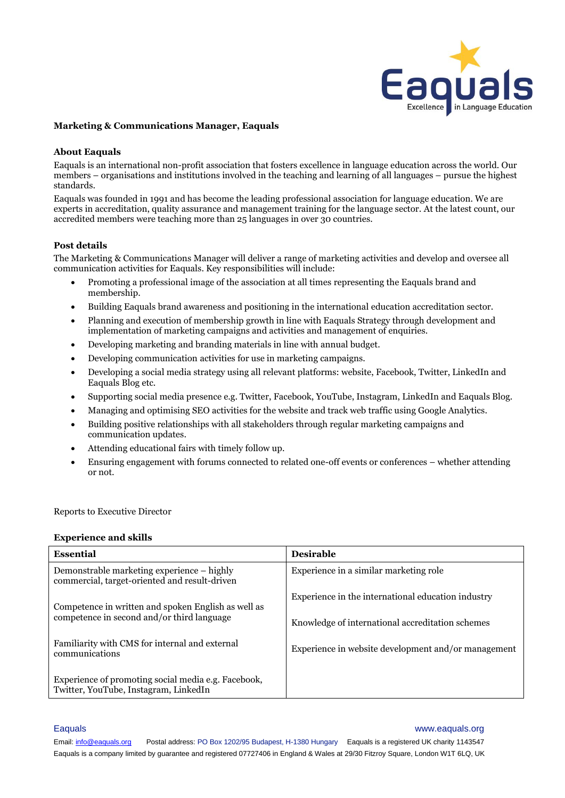

### **Marketing & Communications Manager, Eaquals**

### **About Eaquals**

Eaquals is an international non-profit association that fosters excellence in language education across the world. Our members – organisations and institutions involved in the teaching and learning of all languages – pursue the highest standards.

Eaquals was founded in 1991 and has become the leading professional association for language education. We are experts in accreditation, quality assurance and management training for the language sector. At the latest count, our accredited members were teaching more than 25 languages in over 30 countries.

# **Post details**

The Marketing & Communications Manager will deliver a range of marketing activities and develop and oversee all communication activities for Eaquals. Key responsibilities will include:

- Promoting a professional image of the association at all times representing the Eaquals brand and membership.
- Building Eaquals brand awareness and positioning in the international education accreditation sector.
- Planning and execution of membership growth in line with Eaquals Strategy through development and implementation of marketing campaigns and activities and management of enquiries.
- Developing marketing and branding materials in line with annual budget.
- Developing communication activities for use in marketing campaigns.
- Developing a social media strategy using all relevant platforms: website, Facebook, Twitter, LinkedIn and Eaquals Blog etc.
- Supporting social media presence e.g. Twitter, Facebook, YouTube, Instagram, LinkedIn and Eaquals Blog.
- Managing and optimising SEO activities for the website and track web traffic using Google Analytics.
- Building positive relationships with all stakeholders through regular marketing campaigns and communication updates.
- Attending educational fairs with timely follow up.
- Ensuring engagement with forums connected to related one-off events or conferences whether attending or not.

Reports to Executive Director

### **Experience and skills**

| <b>Essential</b>                                                                                  | <b>Desirable</b>                                    |
|---------------------------------------------------------------------------------------------------|-----------------------------------------------------|
| Demonstrable marketing experience – highly<br>commercial, target-oriented and result-driven       | Experience in a similar marketing role              |
| Competence in written and spoken English as well as<br>competence in second and/or third language | Experience in the international education industry  |
|                                                                                                   | Knowledge of international accreditation schemes    |
| Familiarity with CMS for internal and external<br>communications                                  | Experience in website development and/or management |
| Experience of promoting social media e.g. Facebook,<br>Twitter, YouTube, Instagram, LinkedIn      |                                                     |